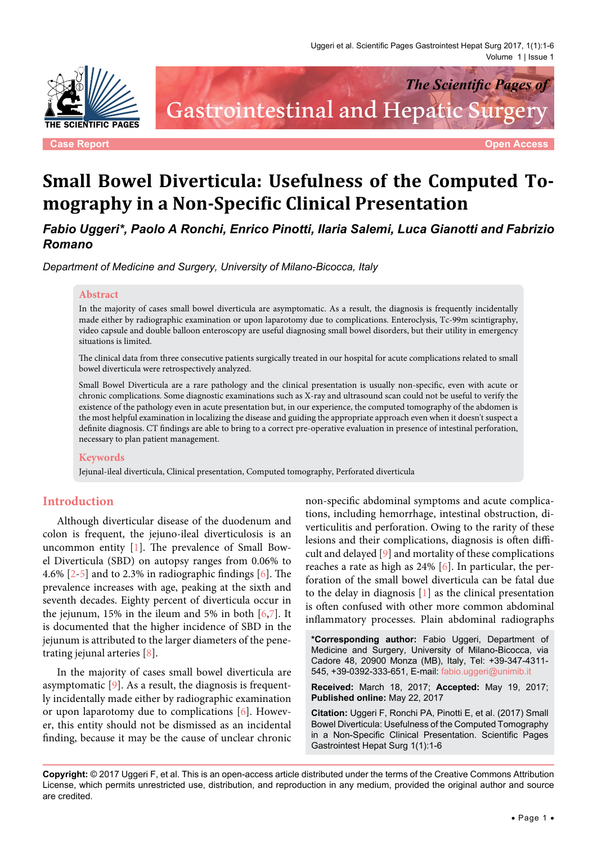

*The Scientific Pages of* Gastrointestinal and Hepatic Surger

**Case Report Open Access**

# **Small Bowel Diverticula: Usefulness of the Computed Tomography in a Non-Specific Clinical Presentation**

*Fabio Uggeri\*, Paolo A Ronchi, Enrico Pinotti, Ilaria Salemi, Luca Gianotti and Fabrizio Romano*

*Department of Medicine and Surgery, University of Milano-Bicocca, Italy*

#### **Abstract**

In the majority of cases small bowel diverticula are asymptomatic. As a result, the diagnosis is frequently incidentally made either by radiographic examination or upon laparotomy due to complications. Enteroclysis, Tc-99m scintigraphy, video capsule and double balloon enteroscopy are useful diagnosing small bowel disorders, but their utility in emergency situations is limited.

The clinical data from three consecutive patients surgically treated in our hospital for acute complications related to small bowel diverticula were retrospectively analyzed.

Small Bowel Diverticula are a rare pathology and the clinical presentation is usually non-specific, even with acute or chronic complications. Some diagnostic examinations such as X-ray and ultrasound scan could not be useful to verify the existence of the pathology even in acute presentation but, in our experience, the computed tomography of the abdomen is the most helpful examination in localizing the disease and guiding the appropriate approach even when it doesn't suspect a definite diagnosis. CT findings are able to bring to a correct pre-operative evaluation in presence of intestinal perforation, necessary to plan patient management.

#### **Keywords**

Jejunal-ileal diverticula, Clinical presentation, Computed tomography, Perforated diverticula

## **Introduction**

Although diverticular disease of the duodenum and colon is frequent, the jejuno-ileal diverticulosis is an uncommon entity [\[1\]](#page-4-0). The prevalence of Small Bowel Diverticula (SBD) on autopsy ranges from 0.06% to 4.6% [\[2-](#page-4-1)[5\]](#page-4-2) and to 2.3% in radiographic findings [[6](#page-4-3)]. The prevalence increases with age, peaking at the sixth and seventh decades. Eighty percent of diverticula occur in the jejunum, 15% in the ileum and 5% in both  $[6,7]$  $[6,7]$  $[6,7]$ . It is documented that the higher incidence of SBD in the jejunum is attributed to the larger diameters of the penetrating jejunal arteries [\[8](#page-4-5)].

In the majority of cases small bowel diverticula are asymptomatic [[9\]](#page-4-6). As a result, the diagnosis is frequently incidentally made either by radiographic examination or upon laparotomy due to complications [[6](#page-4-3)]. However, this entity should not be dismissed as an incidental finding, because it may be the cause of unclear chronic

non-specific abdominal symptoms and acute complications, including hemorrhage, intestinal obstruction, diverticulitis and perforation. Owing to the rarity of these lesions and their complications, diagnosis is often difficult and delayed [[9](#page-4-6)] and mortality of these complications reaches a rate as high as 24% [\[6](#page-4-3)]. In particular, the perforation of the small bowel diverticula can be fatal due to the delay in diagnosis [\[1](#page-4-0)] as the clinical presentation is often confused with other more common abdominal inflammatory processes. Plain abdominal radiographs

**\*Corresponding author:** Fabio Uggeri, Department of Medicine and Surgery, University of Milano-Bicocca, via Cadore 48, 20900 Monza (MB), Italy, Tel: +39-347-4311- 545, +39-0392-333-651, E-mail: fabio.uggeri@unimib.it

**Received:** March 18, 2017; **Accepted:** May 19, 2017; **Published online:** May 22, 2017

**Citation:** Uggeri F, Ronchi PA, Pinotti E, et al. (2017) Small Bowel Diverticula: Usefulness of the Computed Tomography in a Non-Specific Clinical Presentation. Scientific Pages Gastrointest Hepat Surg 1(1):1-6

**Copyright:** © 2017 Uggeri F, et al. This is an open-access article distributed under the terms of the Creative Commons Attribution License, which permits unrestricted use, distribution, and reproduction in any medium, provided the original author and source are credited.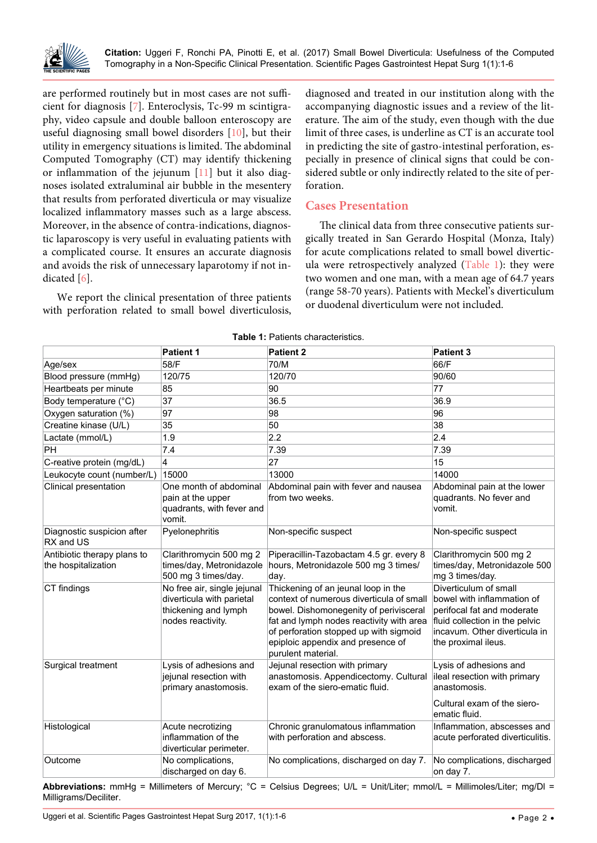

are performed routinely but in most cases are not sufficient for diagnosis [\[7\]](#page-4-4). Enteroclysis, Tc-99 m scintigraphy, video capsule and double balloon enteroscopy are useful diagnosing small bowel disorders [[10](#page-4-7)], but their utility in emergency situations is limited. The abdominal Computed Tomography (CT) may identify thickening or inflammation of the jejunum [[11](#page-5-0)] but it also diagnoses isolated extraluminal air bubble in the mesentery that results from perforated diverticula or may visualize localized inflammatory masses such as a large abscess. Moreover, in the absence of contra-indications, diagnostic laparoscopy is very useful in evaluating patients with a complicated course. It ensures an accurate diagnosis and avoids the risk of unnecessary laparotomy if not indicated [[6](#page-4-3)].

We report the clinical presentation of three patients with perforation related to small bowel diverticulosis,

diagnosed and treated in our institution along with the accompanying diagnostic issues and a review of the literature. The aim of the study, even though with the due limit of three cases, is underline as CT is an accurate tool in predicting the site of gastro-intestinal perforation, especially in presence of clinical signs that could be considered subtle or only indirectly related to the site of perforation.

## **Cases Presentation**

The clinical data from three consecutive patients surgically treated in San Gerardo Hospital (Monza, Italy) for acute complications related to small bowel diverticula were retrospectively analyzed (Table 1): they were two women and one man, with a mean age of 64.7 years (range 58-70 years). Patients with Meckel's diverticulum or duodenal diverticulum were not included.

|                                                    | <b>Patient 1</b>                                                                                      | <b>Patient 2</b>                                                                                                                                                                                                                                                           | <b>Patient 3</b>                                                                                                                                                            |
|----------------------------------------------------|-------------------------------------------------------------------------------------------------------|----------------------------------------------------------------------------------------------------------------------------------------------------------------------------------------------------------------------------------------------------------------------------|-----------------------------------------------------------------------------------------------------------------------------------------------------------------------------|
| Age/sex                                            | 58/F                                                                                                  | 70/M                                                                                                                                                                                                                                                                       | 66/F                                                                                                                                                                        |
| Blood pressure (mmHg)                              | 120/75                                                                                                | 120/70                                                                                                                                                                                                                                                                     | 90/60                                                                                                                                                                       |
| Heartbeats per minute                              | 85                                                                                                    | 90                                                                                                                                                                                                                                                                         | 77                                                                                                                                                                          |
| Body temperature (°C)                              | 37                                                                                                    | 36.5                                                                                                                                                                                                                                                                       | 36.9                                                                                                                                                                        |
| Oxygen saturation (%)                              | 97                                                                                                    | 98                                                                                                                                                                                                                                                                         | 96                                                                                                                                                                          |
| Creatine kinase (U/L)                              | 35                                                                                                    | 50                                                                                                                                                                                                                                                                         | 38                                                                                                                                                                          |
| Lactate (mmol/L)                                   | 1.9                                                                                                   | 2.2                                                                                                                                                                                                                                                                        | 2.4                                                                                                                                                                         |
| PH                                                 | 7.4                                                                                                   | 7.39                                                                                                                                                                                                                                                                       | 7.39                                                                                                                                                                        |
| C-reative protein (mg/dL)                          | 4                                                                                                     | 27                                                                                                                                                                                                                                                                         | 15                                                                                                                                                                          |
| Leukocyte count (number/L)                         | 15000                                                                                                 | 13000                                                                                                                                                                                                                                                                      | 14000                                                                                                                                                                       |
| Clinical presentation                              | One month of abdominal<br>pain at the upper<br>quadrants, with fever and<br>vomit.                    | Abdominal pain with fever and nausea<br>from two weeks.                                                                                                                                                                                                                    | Abdominal pain at the lower<br>quadrants. No fever and<br>vomit.                                                                                                            |
| Diagnostic suspicion after<br>RX and US            | Pyelonephritis                                                                                        | Non-specific suspect                                                                                                                                                                                                                                                       | Non-specific suspect                                                                                                                                                        |
| Antibiotic therapy plans to<br>the hospitalization | Clarithromycin 500 mg 2<br>times/day, Metronidazole<br>500 mg 3 times/day.                            | Piperacillin-Tazobactam 4.5 gr. every 8<br>hours, Metronidazole 500 mg 3 times/<br>day.                                                                                                                                                                                    | Clarithromycin 500 mg 2<br>times/day, Metronidazole 500<br>mg 3 times/day.                                                                                                  |
| CT findings                                        | No free air, single jejunal<br>diverticula with parietal<br>thickening and lymph<br>nodes reactivity. | Thickening of an jeunal loop in the<br>context of numerous diverticula of small<br>bowel. Dishomonegenity of perivisceral<br>fat and lymph nodes reactivity with area<br>of perforation stopped up with sigmoid<br>epiploic appendix and presence of<br>purulent material. | Diverticulum of small<br>bowel with inflammation of<br>perifocal fat and moderate<br>fluid collection in the pelvic<br>incavum. Other diverticula in<br>the proximal ileus. |
| Surgical treatment                                 | Lysis of adhesions and<br>jejunal resection with<br>primary anastomosis.                              | Jejunal resection with primary<br>anastomosis. Appendicectomy. Cultural<br>exam of the siero-ematic fluid.                                                                                                                                                                 | Lysis of adhesions and<br>ileal resection with primary<br>anastomosis.<br>Cultural exam of the siero-<br>ematic fluid.                                                      |
| Histological                                       | Acute necrotizing<br>inflammation of the<br>diverticular perimeter.                                   | Chronic granulomatous inflammation<br>with perforation and abscess.                                                                                                                                                                                                        | Inflammation, abscesses and<br>acute perforated diverticulitis.                                                                                                             |
| Outcome                                            | No complications,<br>discharged on day 6.                                                             | No complications, discharged on day 7.                                                                                                                                                                                                                                     | No complications, discharged<br>on day 7.                                                                                                                                   |

**Table 1:** Patients characteristics.

**Abbreviations:** mmHg = Millimeters of Mercury; °C = Celsius Degrees; U/L = Unit/Liter; mmol/L = Millimoles/Liter; mg/Dl = Milligrams/Deciliter.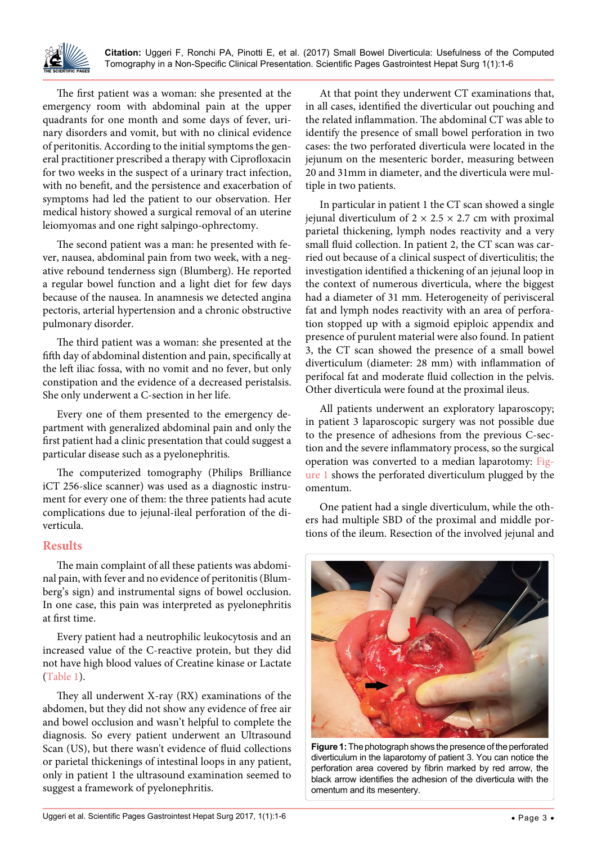

**Citation:** Uggeri F, Ronchi PA, Pinotti E, et al. (2017) Small Bowel Diverticula: Usefulness of the Computed Tomography in a Non-Specific Clinical Presentation. Scientific Pages Gastrointest Hepat Surg 1(1):1-6

The first patient was a woman: she presented at the emergency room with abdominal pain at the upper quadrants for one month and some days of fever, urinary disorders and vomit, but with no clinical evidence of peritonitis. According to the initial symptoms the general practitioner prescribed a therapy with Ciprofloxacin for two weeks in the suspect of a urinary tract infection, with no benefit, and the persistence and exacerbation of symptoms had led the patient to our observation. Her medical history showed a surgical removal of an uterine leiomyomas and one right salpingo-ophrectomy.

The second patient was a man: he presented with fever, nausea, abdominal pain from two week, with a negative rebound tenderness sign (Blumberg). He reported a regular bowel function and a light diet for few days because of the nausea. In anamnesis we detected angina pectoris, arterial hypertension and a chronic obstructive pulmonary disorder.

The third patient was a woman: she presented at the fifth day of abdominal distention and pain, specifically at the left iliac fossa, with no vomit and no fever, but only constipation and the evidence of a decreased peristalsis. She only underwent a C-section in her life.

Every one of them presented to the emergency department with generalized abdominal pain and only the first patient had a clinic presentation that could suggest a particular disease such as a pyelonephritis.

The computerized tomography (Philips Brilliance iCT 256-slice scanner) was used as a diagnostic instrument for every one of them: the three patients had acute complications due to jejunal-ileal perforation of the diverticula.

### **Results**

The main complaint of all these patients was abdominal pain, with fever and no evidence of peritonitis (Blumberg's sign) and instrumental signs of bowel occlusion. In one case, this pain was interpreted as pyelonephritis at first time.

Every patient had a neutrophilic leukocytosis and an increased value of the C-reactive protein, but they did not have high blood values of Creatine kinase or Lactate (Table 1).

They all underwent X-ray (RX) examinations of the abdomen, but they did not show any evidence of free air and bowel occlusion and wasn't helpful to complete the diagnosis. So every patient underwent an Ultrasound Scan (US), but there wasn't evidence of fluid collections or parietal thickenings of intestinal loops in any patient, only in patient 1 the ultrasound examination seemed to suggest a framework of pyelonephritis.

At that point they underwent CT examinations that, in all cases, identified the diverticular out pouching and the related inflammation. The abdominal CT was able to identify the presence of small bowel perforation in two cases: the two perforated diverticula were located in the jejunum on the mesenteric border, measuring between 20 and 31mm in diameter, and the diverticula were multiple in two patients.

In particular in patient 1 the CT scan showed a single jejunal diverticulum of  $2 \times 2.5 \times 2.7$  cm with proximal parietal thickening, lymph nodes reactivity and a very small fluid collection. In patient 2, the CT scan was carried out because of a clinical suspect of diverticulitis; the investigation identified a thickening of an jejunal loop in the context of numerous diverticula, where the biggest had a diameter of 31 mm. Heterogeneity of perivisceral fat and lymph nodes reactivity with an area of perforation stopped up with a sigmoid epiploic appendix and presence of purulent material were also found. In patient 3, the CT scan showed the presence of a small bowel diverticulum (diameter: 28 mm) with inflammation of perifocal fat and moderate fluid collection in the pelvis. Other diverticula were found at the proximal ileus.

All patients underwent an exploratory laparoscopy; in patient 3 laparoscopic surgery was not possible due to the presence of adhesions from the previous C-section and the severe inflammatory process, so the surgical operation was converted to a median laparotomy: Figure 1 shows the perforated diverticulum plugged by the omentum.

One patient had a single diverticulum, while the others had multiple SBD of the proximal and middle portions of the ileum. Resection of the involved jejunal and



**Figure 1:** The photograph shows the presence of the perforated diverticulum in the laparotomy of patient 3. You can notice the perforation area covered by fibrin marked by red arrow, the black arrow identifies the adhesion of the diverticula with the omentum and its mesentery.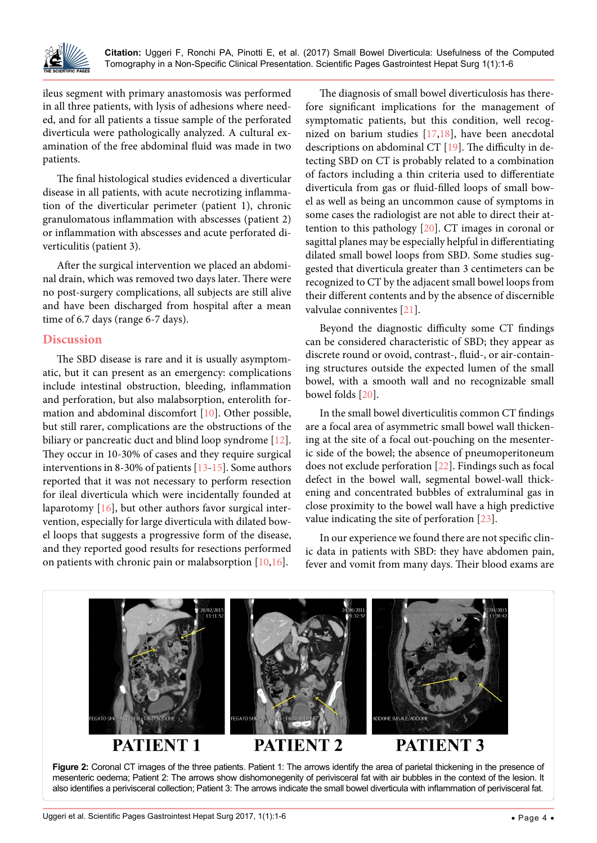

ileus segment with primary anastomosis was performed in all three patients, with lysis of adhesions where needed, and for all patients a tissue sample of the perforated diverticula were pathologically analyzed. A cultural examination of the free abdominal fluid was made in two patients.

The final histological studies evidenced a diverticular disease in all patients, with acute necrotizing inflammation of the diverticular perimeter (patient 1), chronic granulomatous inflammation with abscesses (patient 2) or inflammation with abscesses and acute perforated diverticulitis (patient 3).

After the surgical intervention we placed an abdominal drain, which was removed two days later. There were no post-surgery complications, all subjects are still alive and have been discharged from hospital after a mean time of 6.7 days (range 6-7 days).

#### **Discussion**

The SBD disease is rare and it is usually asymptomatic, but it can present as an emergency: complications include intestinal obstruction, bleeding, inflammation and perforation, but also malabsorption, enterolith formation and abdominal discomfort [\[10\]](#page-4-7). Other possible, but still rarer, complications are the obstructions of the biliary or pancreatic duct and blind loop syndrome [[12](#page-5-1)]. They occur in 10-30% of cases and they require surgical interventions in 8-30% of patients [[13](#page-5-2)[-15\]](#page-5-3). Some authors reported that it was not necessary to perform resection for ileal diverticula which were incidentally founded at laparotomy [\[16\]](#page-5-4), but other authors favor surgical intervention, especially for large diverticula with dilated bowel loops that suggests a progressive form of the disease, and they reported good results for resections performed on patients with chronic pain or malabsorption [[10](#page-4-7),[16](#page-5-4)].

The diagnosis of small bowel diverticulosis has therefore significant implications for the management of symptomatic patients, but this condition, well recognized on barium studies  $[17,18]$  $[17,18]$ , have been anecdotal descriptions on abdominal CT [\[19\]](#page-5-7). The difficulty in detecting SBD on CT is probably related to a combination of factors including a thin criteria used to differentiate diverticula from gas or fluid-filled loops of small bowel as well as being an uncommon cause of symptoms in some cases the radiologist are not able to direct their attention to this pathology [[20](#page-5-8)]. CT images in coronal or sagittal planes may be especially helpful in differentiating dilated small bowel loops from SBD. Some studies suggested that diverticula greater than 3 centimeters can be recognized to CT by the adjacent small bowel loops from their different contents and by the absence of discernible valvulae conniventes [[21](#page-5-9)].

Beyond the diagnostic difficulty some CT findings can be considered characteristic of SBD; they appear as discrete round or ovoid, contrast-, fluid-, or air-containing structures outside the expected lumen of the small bowel, with a smooth wall and no recognizable small bowel folds [\[20\]](#page-5-8).

In the small bowel diverticulitis common CT findings are a focal area of asymmetric small bowel wall thickening at the site of a focal out-pouching on the mesenteric side of the bowel; the absence of pneumoperitoneum does not exclude perforation [\[22\]](#page-5-10). Findings such as focal defect in the bowel wall, segmental bowel-wall thickening and concentrated bubbles of extraluminal gas in close proximity to the bowel wall have a high predictive value indicating the site of perforation [\[23\]](#page-5-11).

In our experience we found there are not specific clinic data in patients with SBD: they have abdomen pain, fever and vomit from many days. Their blood exams are



also identifies a perivisceral collection; Patient 3: The arrows indicate the small bowel diverticula with inflammation of perivisceral fat.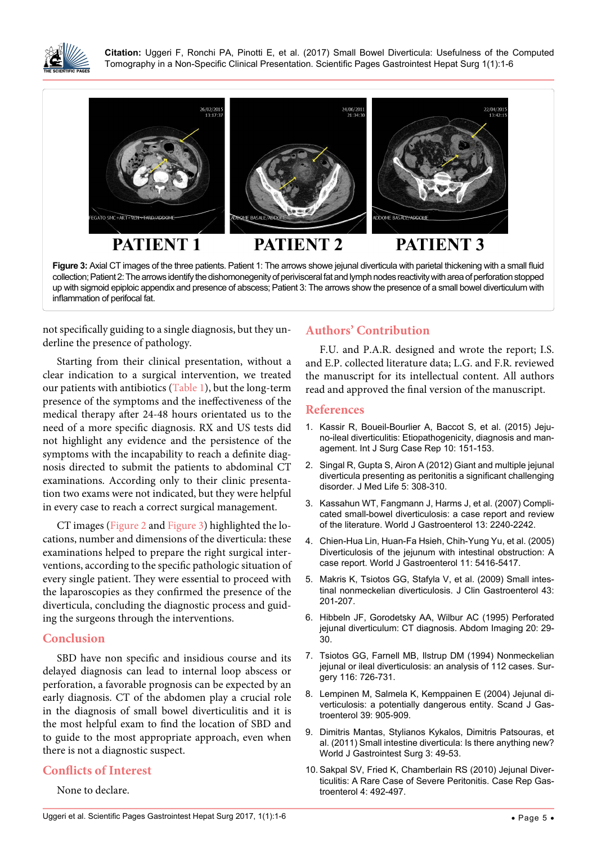

Ĩ

**Citation:** Uggeri F, Ronchi PA, Pinotti E, et al. (2017) Small Bowel Diverticula: Usefulness of the Computed Tomography in a Non-Specific Clinical Presentation. Scientific Pages Gastrointest Hepat Surg 1(1):1-6



collection; Patient 2: The arrows identify the dishomonegenity of perivisceral fat and lymph nodes reactivity with area of perforation stopped up with sigmoid epiploic appendix and presence of abscess; Patient 3: The arrows show the presence of a small bowel diverticulum with inflammation of perifocal fat.

not specifically guiding to a single diagnosis, but they underline the presence of pathology.

Starting from their clinical presentation, without a clear indication to a surgical intervention, we treated our patients with antibiotics (Table 1), but the long-term presence of the symptoms and the ineffectiveness of the medical therapy after 24-48 hours orientated us to the need of a more specific diagnosis. RX and US tests did not highlight any evidence and the persistence of the symptoms with the incapability to reach a definite diagnosis directed to submit the patients to abdominal CT examinations. According only to their clinic presentation two exams were not indicated, but they were helpful in every case to reach a correct surgical management.

CT images (Figure 2 and Figure 3) highlighted the locations, number and dimensions of the diverticula: these examinations helped to prepare the right surgical interventions, according to the specific pathologic situation of every single patient. They were essential to proceed with the laparoscopies as they confirmed the presence of the diverticula, concluding the diagnostic process and guiding the surgeons through the interventions.

### **Conclusion**

SBD have non specific and insidious course and its delayed diagnosis can lead to internal loop abscess or perforation, a favorable prognosis can be expected by an early diagnosis. CT of the abdomen play a crucial role in the diagnosis of small bowel diverticulitis and it is the most helpful exam to find the location of SBD and to guide to the most appropriate approach, even when there is not a diagnostic suspect.

# **Conflicts of Interest**

None to declare.

# **Authors' Contribution**

F.U. and P.A.R. designed and wrote the report; I.S. and E.P. collected literature data; L.G. and F.R. reviewed the manuscript for its intellectual content. All authors read and approved the final version of the manuscript.

#### **References**

- <span id="page-4-0"></span>1. [Kassir R, Boueil-Bourlier A, Baccot S, et al. \(2015\) Jeju](https://www.ncbi.nlm.nih.gov/pubmed/25841158)[no-ileal diverticulitis: Etiopathogenicity, diagnosis and man](https://www.ncbi.nlm.nih.gov/pubmed/25841158)[agement. Int J Surg Case Rep 10: 151-153.](https://www.ncbi.nlm.nih.gov/pubmed/25841158)
- <span id="page-4-1"></span>2. [Singal R, Gupta S, Airon A \(2012\) Giant and multiple jejunal](https://www.ncbi.nlm.nih.gov/pubmed/23049633)  [diverticula presenting as peritonitis a significant challenging](https://www.ncbi.nlm.nih.gov/pubmed/23049633)  [disorder. J Med Life 5: 308-310.](https://www.ncbi.nlm.nih.gov/pubmed/23049633)
- 3. [Kassahun WT, Fangmann J, Harms J, et al. \(2007\) Compli](https://www.ncbi.nlm.nih.gov/pubmed/17465510)[cated small-bowel diverticulosis: a case report and review](https://www.ncbi.nlm.nih.gov/pubmed/17465510)  [of the literature. World J Gastroenterol](https://www.ncbi.nlm.nih.gov/pubmed/17465510) 13: 2240-2242.
- 4. [Chien-Hua Lin, Huan-Fa Hsieh, Chih-Yung Yu,](https://www.ncbi.nlm.nih.gov/pmc/articles/PMC4622825/) et al. (2005) [Diverticulosis of the jejunum with intestinal obstruction: A](https://www.ncbi.nlm.nih.gov/pmc/articles/PMC4622825/)  [case report. World J Gastroenterol 11: 5416-5417.](https://www.ncbi.nlm.nih.gov/pmc/articles/PMC4622825/)
- <span id="page-4-2"></span>5. [Makris K, Tsiotos GG, Stafyla V, et al. \(2009\) Small intes](https://www.ncbi.nlm.nih.gov/pubmed/19142169)[tinal nonmeckelian diverticulosis. J Clin Gastroenterol 43:](https://www.ncbi.nlm.nih.gov/pubmed/19142169)  [201-207.](https://www.ncbi.nlm.nih.gov/pubmed/19142169)
- <span id="page-4-3"></span>6. [Hibbeln JF, Gorodetsky AA, Wilbur AC \(1995\)](https://www.ncbi.nlm.nih.gov/pubmed/7894294) Perforated [jejunal diverticulum: CT diagnosis. Abdom Imaging 20: 29-](https://www.ncbi.nlm.nih.gov/pubmed/7894294) [30.](https://www.ncbi.nlm.nih.gov/pubmed/7894294)
- <span id="page-4-4"></span>7. [Tsiotos GG, Farnell MB, Ilstrup DM \(1994\) Nonmeckelian](https://www.ncbi.nlm.nih.gov/pubmed/7940172)  [jejunal or ileal diverticulosis: an analysis of 112 cases. Sur](https://www.ncbi.nlm.nih.gov/pubmed/7940172)[gery 116: 726-731.](https://www.ncbi.nlm.nih.gov/pubmed/7940172)
- <span id="page-4-5"></span>8. [Lempinen M, Salmela K, Kemppainen E \(2004\) Jejunal di](https://www.ncbi.nlm.nih.gov/pubmed/15513392)[verticulosis: a potentially dangerous entity.](https://www.ncbi.nlm.nih.gov/pubmed/15513392) Scand J Gas[troenterol 39: 905-909.](https://www.ncbi.nlm.nih.gov/pubmed/15513392)
- <span id="page-4-6"></span>9. [Dimitris Mantas, Stylianos Kykalos, Dimitris Patsouras, et](https://www.ncbi.nlm.nih.gov/pmc/articles/PMC3083500/)  [al. \(2011\) Small intestine diverticula: Is there anything new?](https://www.ncbi.nlm.nih.gov/pmc/articles/PMC3083500/)  [World J Gastrointest Surg](https://www.ncbi.nlm.nih.gov/pmc/articles/PMC3083500/) 3: 49-53.
- <span id="page-4-7"></span>10. [Sakpal SV, Fried K, Chamberlain RS \(](https://www.ncbi.nlm.nih.gov/pubmed/21113287)2010) Jejunal Diver[ticulitis: A Rare Case of Severe Peritonitis.](https://www.ncbi.nlm.nih.gov/pubmed/21113287) Case Rep Gas[troenterol 4: 492-497.](https://www.ncbi.nlm.nih.gov/pubmed/21113287)